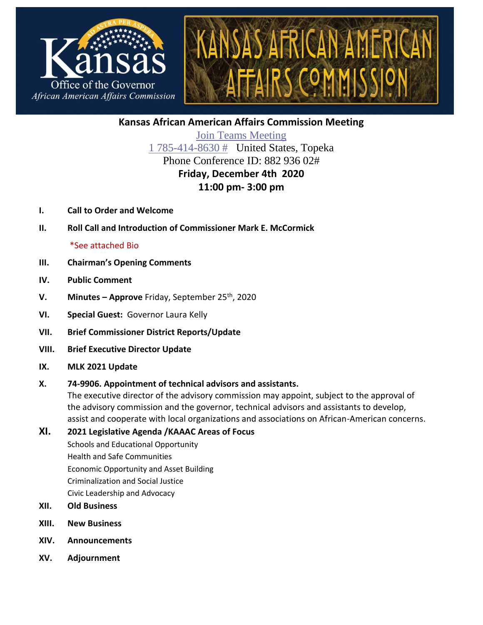



**Kansas African American Affairs Commission Meeting**

[Join Teams](https://teams.microsoft.com/l/meetup-join/19%3ameeting_NDhmNTFlNDEtOGJiZi00MWM0LWE4OTUtNmVmMDY1MzE3MGY5%40thread.v2/0?context=%7b%22Tid%22%3a%22dcae8101-c92d-480c-bc43-c6761ccccc5a%22%2c%22Oid%22%3a%223d455b55-1611-400f-b548-b8a6b71c2940%22%7d) Meeting [1 785-414-8630](tel:+17854148630,,88293602# ) # United States, Topeka Phone Conference ID: 882 936 02# **Friday, December 4th 2020 11:00 pm- 3:00 pm**

- **I. Call to Order and Welcome**
- **II. Roll Call and Introduction of Commissioner Mark E. McCormick**

## \*See attached Bio

- **III. Chairman's Opening Comments**
- **IV. Public Comment**
- **V. Minutes – Approve** Friday, September 25th, 2020
- **VI. Special Guest:** Governor Laura Kelly
- **VII. Brief Commissioner District Reports/Update**
- **VIII. Brief Executive Director Update**
- **IX. MLK 2021 Update**

## **X. 74-9906. Appointment of technical advisors and assistants.**

The executive director of the advisory commission may appoint, subject to the approval of the advisory commission and the governor, technical advisors and assistants to develop, assist and cooperate with local organizations and associations on African-American concerns.

## **XI. 2021 Legislative Agenda /KAAAC Areas of Focus**

Schools and Educational Opportunity Health and Safe Communities Economic Opportunity and Asset Building Criminalization and Social Justice Civic Leadership and Advocacy

- **XII. Old Business**
- **XIII. New Business**
- **XIV. Announcements**
- **XV. Adjournment**